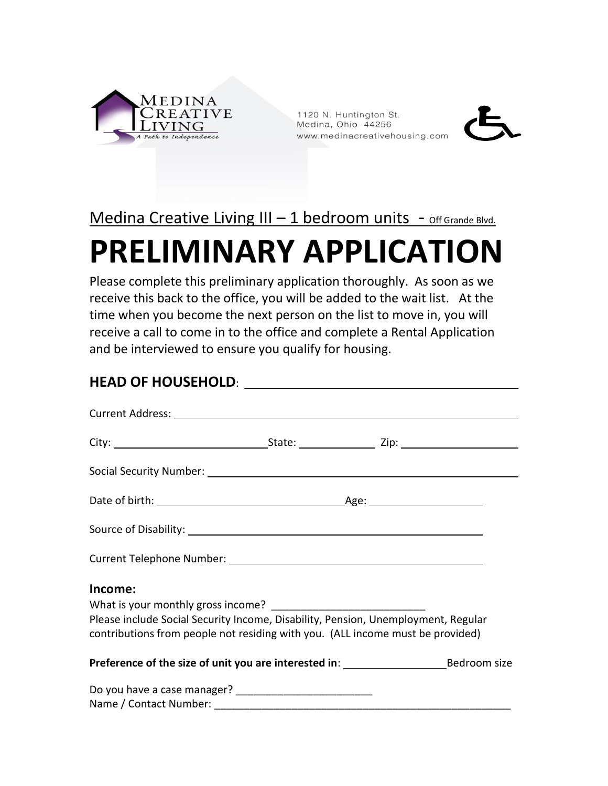

1120 N. Huntington St. Medina, Ohio 44256 www.medinacreativehousing.com



## Medina Creative Living III - 1 bedroom units - Off Grande Blvd.

## **PRELIMINARY APPLICATION**

Please complete this preliminary application thoroughly. As soon as we receive this back to the office, you will be added to the wait list. At the time when you become the next person on the list to move in, you will receive a call to come in to the office and complete a Rental Application and be interviewed to ensure you qualify for housing.

## **HEAD OF HOUSEHOLD**:

| Income:                                                                                                                                                             |  |  |
|---------------------------------------------------------------------------------------------------------------------------------------------------------------------|--|--|
|                                                                                                                                                                     |  |  |
| Please include Social Security Income, Disability, Pension, Unemployment, Regular<br>contributions from people not residing with you. (ALL income must be provided) |  |  |
|                                                                                                                                                                     |  |  |
|                                                                                                                                                                     |  |  |
|                                                                                                                                                                     |  |  |